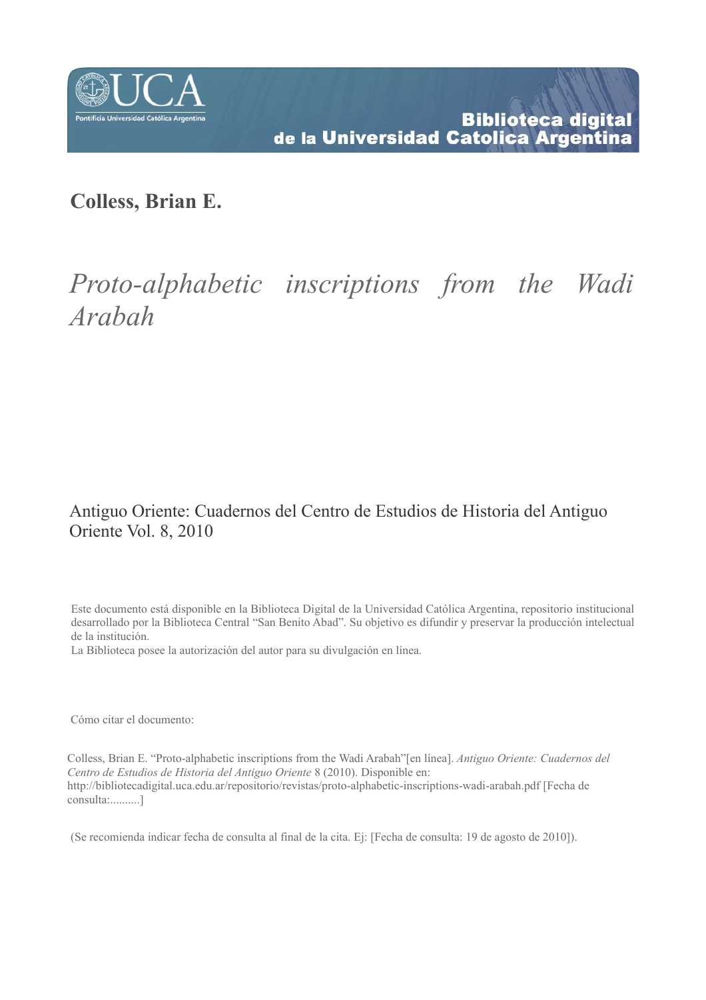

# **Colless, Brian E.**

# *Proto-alphabetic inscriptions from the Wadi Arabah*

# Antiguo Oriente: Cuadernos del Centro de Estudios de Historia del Antiguo Oriente Vol. 8, 2010

Este documento está disponible en la Biblioteca Digital de la Universidad Católica Argentina, repositorio institucional desarrollado por la Biblioteca Central "San Benito Abad". Su objetivo es difundir y preservar la producción intelectual de la institución.

La Biblioteca posee la autorización del autor para su divulgación en línea.

Cómo citar el documento:

Colless, Brian E. "Proto-alphabetic inscriptions from the Wadi Arabah"[en línea]. *Antiguo Oriente: Cuadernos del Centro de Estudios de Historia del Antiguo Oriente* 8 (2010). Disponible en: http://bibliotecadigital.uca.edu.ar/repositorio/revistas/proto-alphabetic-inscriptions-wadi-arabah.pdf [Fecha de consulta:..........]

(Se recomienda indicar fecha de consulta al final de la cita. Ej: [Fecha de consulta: 19 de agosto de 2010]).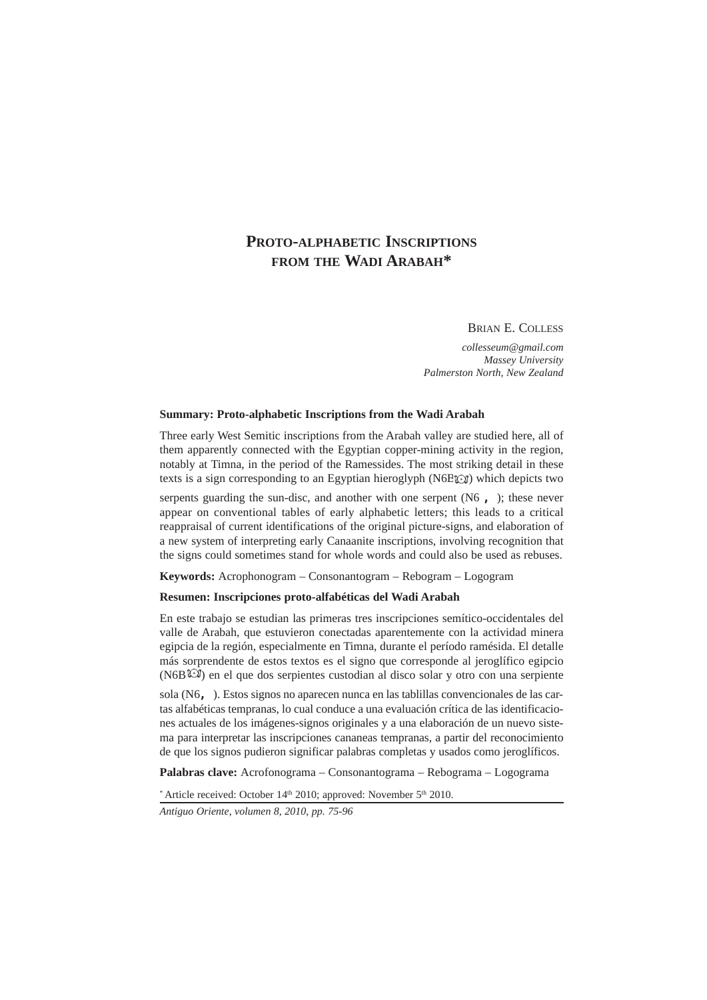# **PROTO-ALPHABETIC INSCRIPTIONS FROM THE WADI ARABAH\***

### BRIAN E. COLLESS

*collesseum@gmail.com Massey University Palmerston North, New Zealand*

#### **Summary: Proto-alphabetic Inscriptions from the Wadi Arabah**

Three early West Semitic inscriptions from the Arabah valley are studied here, all of them apparently connected with the Egyptian copper-mining activity in the region, notably at Timna, in the period of the Ramessides. The most striking detail in these texts is a sign corresponding to an Egyptian hieroglyph (N6BCI) which depicts two

serpents guarding the sun-disc, and another with one serpent  $(N6, 1)$ ; these never appear on conventional tables of early alphabetic letters; this leads to a critical reappraisal of current identifications of the original picture-signs, and elaboration of a new system of interpreting early Canaanite inscriptions, involving recognition that the signs could sometimes stand for whole words and could also be used as rebuses.

**Keywords:** Acrophonogram – Consonantogram – Rebogram – Logogram

# **Resumen: Inscripciones proto-alfabéticas del Wadi Arabah**

En este trabajo se estudian las primeras tres inscripciones semítico-occidentales del valle de Arabah, que estuvieron conectadas aparentemente con la actividad minera egipcia de la región, especialmente en Timna, durante el período ramésida. El detalle más sorprendente de estos textos es el signo que corresponde al jeroglífico egipcio (N6B $\widehat{\mathbb{C}}$ ) en el que dos serpientes custodian al disco solar y otro con una serpiente

sola (N6,). Estos signos no aparecen nunca en las tablillas convencionales de las cartas alfabéticas tempranas, lo cual conduce a una evaluación crítica de las identificaciones actuales de los imágenes-signos originales y a una elaboración de un nuevo sistema para interpretar las inscripciones cananeas tempranas, a partir del reconocimiento de que los signos pudieron significar palabras completas y usados como jeroglíficos.

**Palabras clave:** Acrofonograma – Consonantograma – Rebograma – Logograma

\* Article received: October 14th 2010; approved: November 5th 2010.

*Antiguo Oriente, volumen 8, 2010, pp. 75-96*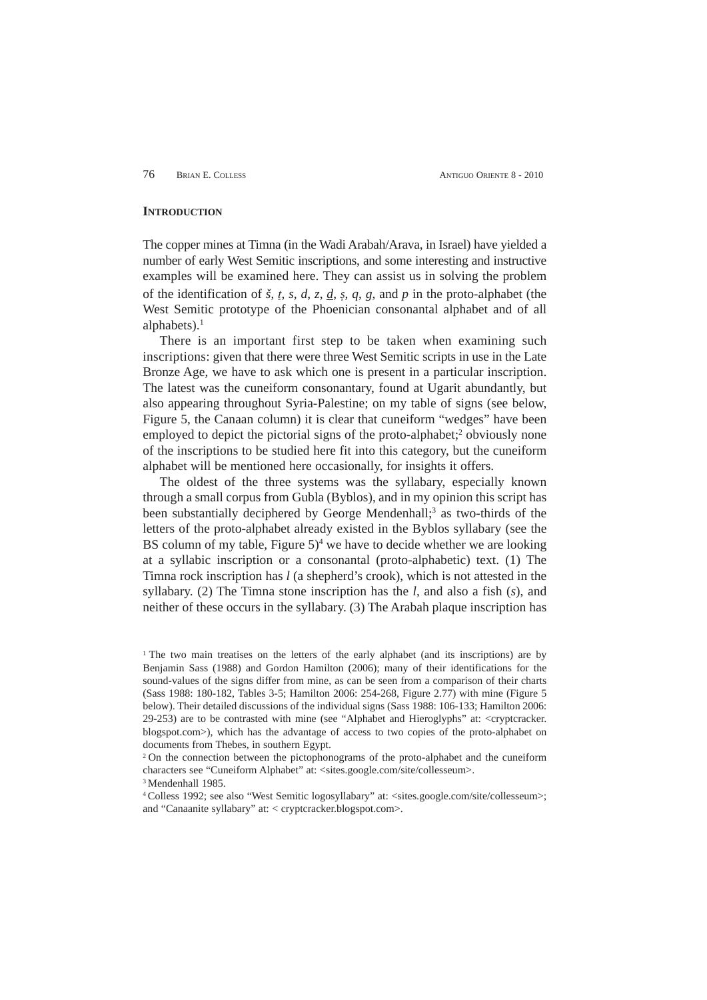76 BRIAN E. COLLESS ANTIGUO ORIENTE 8 - 2010

#### **INTRODUCTION**

The copper mines at Timna (in the Wadi Arabah/Arava, in Israel) have yielded a number of early West Semitic inscriptions, and some interesting and instructive examples will be examined here. They can assist us in solving the problem of the identification of  $\check{s}$ ,  $\check{t}$ ,  $\check{s}$ ,  $\check{d}$ ,  $\check{z}$ ,  $\check{d}$ ,  $\check{d}$ ,  $\check{d}$ ,  $\check{g}$ ,  $\check{d}$ ,  $\check{g}$ ,  $\check{d}$ ,  $\check{g}$ ,  $\check{d}$ ,  $\check{g}$ ,  $\check{d}$ ,  $\check{g}$ ,  $\check{d}$ ,  $\check{g}$ ,  $\check{d}$ ,  $\check{g}$ ,  $\check{d}$ , West Semitic prototype of the Phoenician consonantal alphabet and of all alphabets). $<sup>1</sup>$ </sup>

There is an important first step to be taken when examining such inscriptions: given that there were three West Semitic scripts in use in the Late Bronze Age, we have to ask which one is present in a particular inscription. The latest was the cuneiform consonantary, found at Ugarit abundantly, but also appearing throughout Syria-Palestine; on my table of signs (see below, Figure 5, the Canaan column) it is clear that cuneiform "wedges" have been employed to depict the pictorial signs of the proto-alphabet;<sup>2</sup> obviously none of the inscriptions to be studied here fit into this category, but the cuneiform alphabet will be mentioned here occasionally, for insights it offers.

The oldest of the three systems was the syllabary, especially known through a small corpus from Gubla (Byblos), and in my opinion this script has been substantially deciphered by George Mendenhall;<sup>3</sup> as two-thirds of the letters of the proto-alphabet already existed in the Byblos syllabary (see the BS column of my table, Figure  $5$ <sup>4</sup> we have to decide whether we are looking at a syllabic inscription or a consonantal (proto-alphabetic) text. (1) The Timna rock inscription has *l* (a shepherd's crook), which is not attested in the syllabary. (2) The Timna stone inscription has the *l*, and also a fish (*s*), and neither of these occurs in the syllabary. (3) The Arabah plaque inscription has

<sup>3</sup> Mendenhall 1985.

4 Colless 1992; see also "West Semitic logosyllabary" at: <sites.google.com/site/collesseum>; and "Canaanite syllabary" at: < cryptcracker.blogspot.com>.

<sup>&</sup>lt;sup>1</sup> The two main treatises on the letters of the early alphabet (and its inscriptions) are by Benjamin Sass (1988) and Gordon Hamilton (2006); many of their identifications for the sound-values of the signs differ from mine, as can be seen from a comparison of their charts (Sass 1988: 180-182, Tables 3-5; Hamilton 2006: 254-268, Figure 2.77) with mine (Figure 5 below). Their detailed discussions of the individual signs (Sass 1988: 106-133; Hamilton 2006: 29-253) are to be contrasted with mine (see "Alphabet and Hieroglyphs" at: <cryptcracker. blogspot.com>), which has the advantage of access to two copies of the proto-alphabet on documents from Thebes, in southern Egypt.

<sup>&</sup>lt;sup>2</sup> On the connection between the pictophonograms of the proto-alphabet and the cuneiform characters see "Cuneiform Alphabet" at: <sites.google.com/site/collesseum>.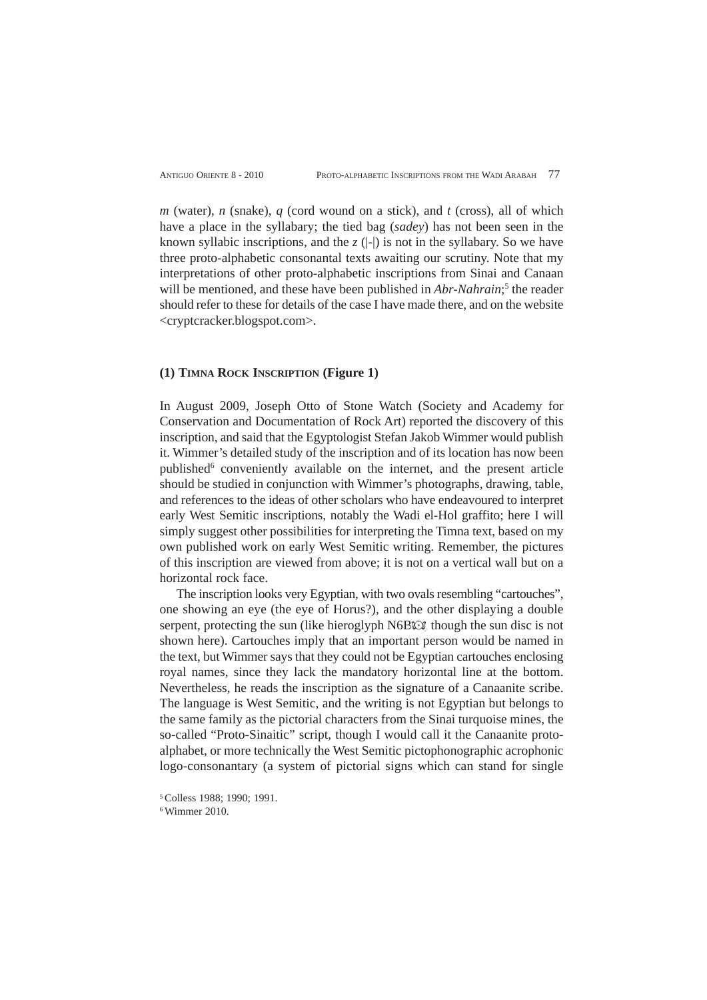*m* (water), *n* (snake), *q* (cord wound on a stick), and *t* (cross), all of which have a place in the syllabary; the tied bag (*sadey*) has not been seen in the known syllabic inscriptions, and the  $\zeta$  ( $\vert \cdot \vert$ ) is not in the syllabary. So we have three proto-alphabetic consonantal texts awaiting our scrutiny. Note that my interpretations of other proto-alphabetic inscriptions from Sinai and Canaan will be mentioned, and these have been published in *Abr-Nahrain*;<sup>5</sup> the reader should refer to these for details of the case I have made there, and on the website <cryptcracker.blogspot.com>.

# **(1) TIMNA ROCK INSCRIPTION (Figure 1)**

In August 2009, Joseph Otto of Stone Watch (Society and Academy for Conservation and Documentation of Rock Art) reported the discovery of this inscription, and said that the Egyptologist Stefan Jakob Wimmer would publish it. Wimmer's detailed study of the inscription and of its location has now been published<sup>6</sup> conveniently available on the internet, and the present article should be studied in conjunction with Wimmer's photographs, drawing, table, and references to the ideas of other scholars who have endeavoured to interpret early West Semitic inscriptions, notably the Wadi el-Hol graffito; here I will simply suggest other possibilities for interpreting the Timna text, based on my own published work on early West Semitic writing. Remember, the pictures of this inscription are viewed from above; it is not on a vertical wall but on a horizontal rock face.

The inscription looks very Egyptian, with two ovals resembling "cartouches", one showing an eye (the eye of Horus?), and the other displaying a double serpent, protecting the sun (like hieroglyph N6B $\odot$ ), though the sun disc is not shown here). Cartouches imply that an important person would be named in the text, but Wimmer says that they could not be Egyptian cartouches enclosing royal names, since they lack the mandatory horizontal line at the bottom. Nevertheless, he reads the inscription as the signature of a Canaanite scribe. The language is West Semitic, and the writing is not Egyptian but belongs to the same family as the pictorial characters from the Sinai turquoise mines, the so-called "Proto-Sinaitic" script, though I would call it the Canaanite protoalphabet, or more technically the West Semitic pictophonographic acrophonic logo-consonantary (a system of pictorial signs which can stand for single

6 Wimmer 2010.

<sup>5</sup> Colless 1988; 1990; 1991.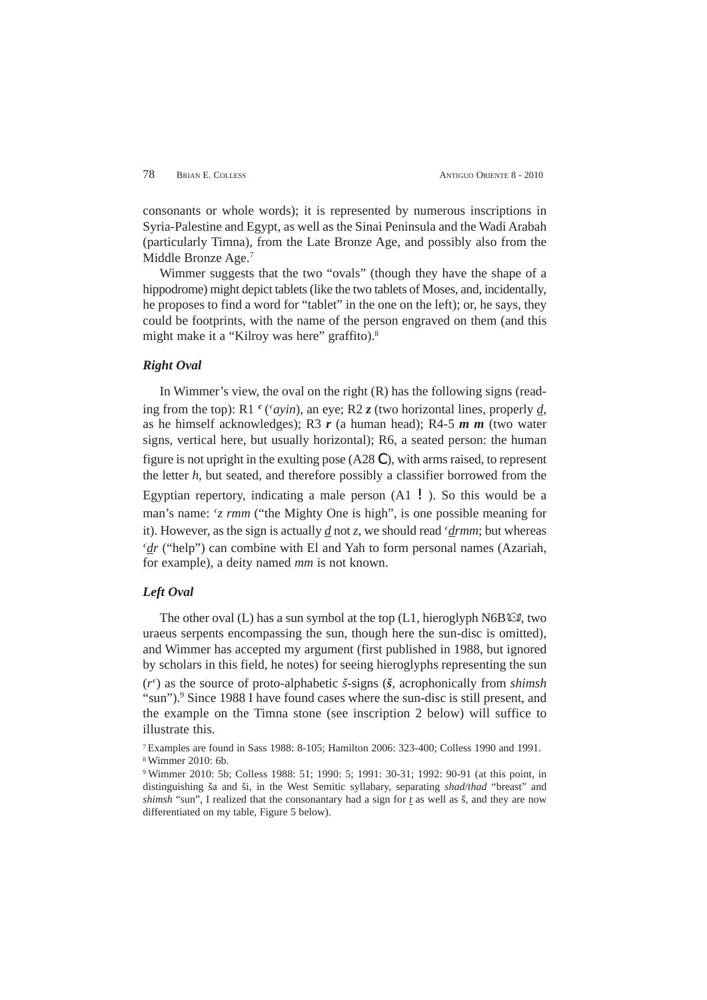consonants or whole words); it is represented by numerous inscriptions in Syria-Palestine and Egypt, as well as the Sinai Peninsula and the Wadi Arabah (particularly Timna), from the Late Bronze Age, and possibly also from the Middle Bronze Age.<sup>7</sup>

Wimmer suggests that the two "ovals" (though they have the shape of a hippodrome) might depict tablets (like the two tablets of Moses, and, incidentally, he proposes to find a word for "tablet" in the one on the left); or, he says, they could be footprints, with the name of the person engraved on them (and this might make it a "Kilroy was here" graffito).8

# *Right Oval*

In Wimmer's view, the oval on the right (R) has the following signs (reading from the top): R1  $\epsilon$  (*cayin*), an eye; R2 *z* (two horizontal lines, properly *d*, as he himself acknowledges); R3 *r* (a human head); R4-5 *m m* (two water signs, vertical here, but usually horizontal); R6, a seated person: the human figure is not upright in the exulting pose (A28 C), with arms raised, to represent the letter *h*, but seated, and therefore possibly a classifier borrowed from the Egyptian repertory, indicating a male person  $(A1 \mid)$ . So this would be a man's name:  $\zeta$  *rmm* ("the Mighty One is high", is one possible meaning for it). However, as the sign is actually  $d$  not  $z$ , we should read  $'drmm$ ; but whereas *d<sub>r</sub>* ("help") can combine with El and Yah to form personal names (Azariah, for example), a deity named *mm* is not known.

# *Left Oval*

The other oval  $(L)$  has a sun symbol at the top  $(L1,$  hieroglyph N6B $\mathbb{C}$ , two uraeus serpents encompassing the sun, though here the sun-disc is omitted), and Wimmer has accepted my argument (first published in 1988, but ignored by scholars in this field, he notes) for seeing hieroglyphs representing the sun  $(r<sup>c</sup>)$  as the source of proto-alphabetic *š*-signs ( $\zeta$ , acrophonically from *shimsh* 

"sun").<sup>9</sup> Since 1988 I have found cases where the sun-disc is still present, and the example on the Timna stone (see inscription 2 below) will suffice to illustrate this.

7 Examples are found in Sass 1988: 8-105; Hamilton 2006: 323-400; Colless 1990 and 1991. 8 Wimmer 2010: 6b.

9 Wimmer 2010: 5b; Colless 1988: 51; 1990: 5; 1991: 30-31; 1992: 90-91 (at this point, in distinguishing ša and ši, in the West Semitic syllabary, separating *shad/thad* "breast" and *shimsh* "sun", I realized that the consonantary had a sign for *t* as well as š, and they are now differentiated on my table, Figure 5 below).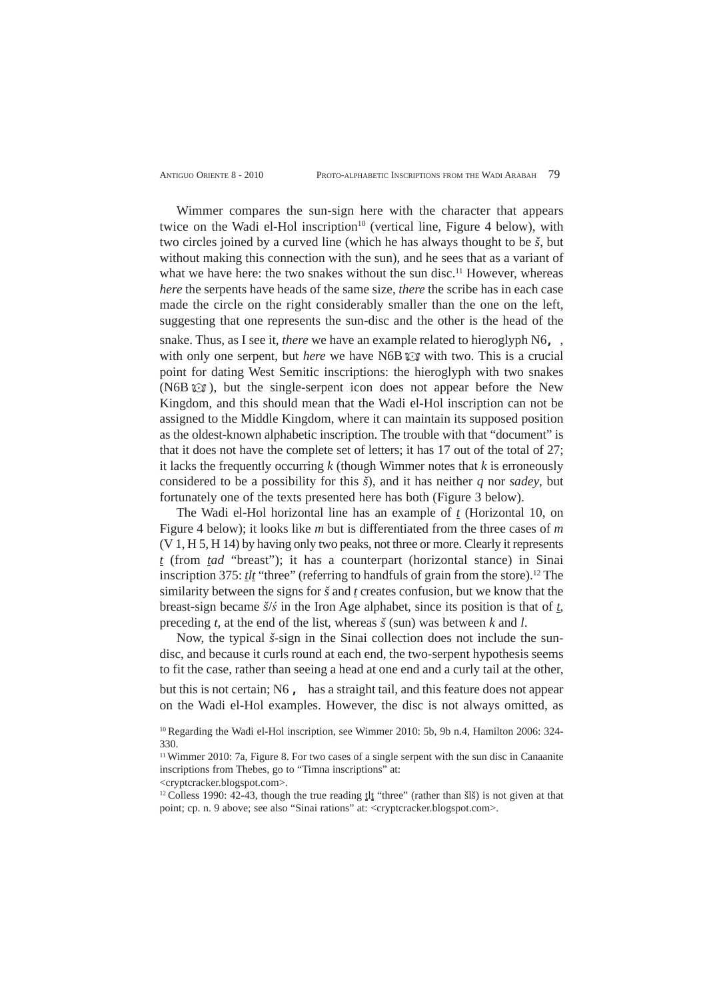Wimmer compares the sun-sign here with the character that appears twice on the Wadi el-Hol inscription<sup>10</sup> (vertical line, Figure 4 below), with two circles joined by a curved line (which he has always thought to be *š*, but without making this connection with the sun), and he sees that as a variant of what we have here: the two snakes without the sun disc.<sup>11</sup> However, whereas *here* the serpents have heads of the same size, *there* the scribe has in each case made the circle on the right considerably smaller than the one on the left, suggesting that one represents the sun-disc and the other is the head of the snake. Thus, as I see it, *there* we have an example related to hieroglyph N6,, with only one serpent, but *here* we have N6B  $\odot$  with two. This is a crucial point for dating West Semitic inscriptions: the hieroglyph with two snakes  $(N6B \&$ ), but the single-serpent icon does not appear before the New Kingdom, and this should mean that the Wadi el-Hol inscription can not be assigned to the Middle Kingdom, where it can maintain its supposed position as the oldest-known alphabetic inscription. The trouble with that "document" is that it does not have the complete set of letters; it has 17 out of the total of 27; it lacks the frequently occurring *k* (though Wimmer notes that *k* is erroneously considered to be a possibility for this *š*), and it has neither *q* nor *sadey*, but fortunately one of the texts presented here has both (Figure 3 below).

The Wadi el-Hol horizontal line has an example of *t* (Horizontal 10, on Figure 4 below); it looks like *m* but is differentiated from the three cases of *m* (V 1, H 5, H 14) by having only two peaks, not three or more. Clearly it represents *t* (from *tad* "breast"); it has a counterpart (horizontal stance) in Sinai inscription 375: *tlt* "three" (referring to handfuls of grain from the store).<sup>12</sup> The similarity between the signs for *š* and *t* creates confusion, but we know that the breast-sign became *š*/*ś* in the Iron Age alphabet, since its position is that of *t*, preceding *t*, at the end of the list, whereas *š* (sun) was between *k* and *l*.

Now, the typical *š*-sign in the Sinai collection does not include the sundisc, and because it curls round at each end, the two-serpent hypothesis seems to fit the case, rather than seeing a head at one end and a curly tail at the other, but this is not certain; N6 , has a straight tail, and this feature does not appear on the Wadi el-Hol examples. However, the disc is not always omitted, as

<cryptcracker.blogspot.com>.

 $12$  Colless 1990: 42-43, though the true reading  $lt$  "three" (rather than šlš) is not given at that point; cp. n. 9 above; see also "Sinai rations" at: <cryptcracker.blogspot.com>.

<sup>10</sup> Regarding the Wadi el-Hol inscription, see Wimmer 2010: 5b, 9b n.4, Hamilton 2006: 324- 330.

 $11$  Wimmer 2010: 7a, Figure 8. For two cases of a single serpent with the sun disc in Canaanite inscriptions from Thebes, go to "Timna inscriptions" at: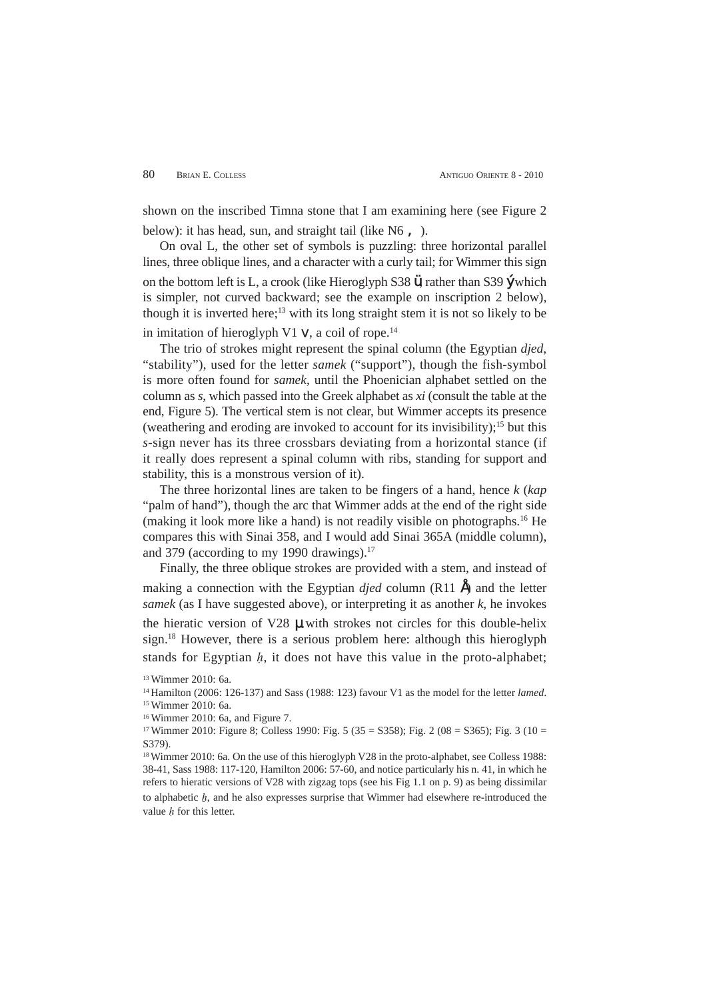shown on the inscribed Timna stone that I am examining here (see Figure 2 below): it has head, sun, and straight tail (like  $N6$ ,).

On oval L, the other set of symbols is puzzling: three horizontal parallel lines, three oblique lines, and a character with a curly tail; for Wimmer this sign on the bottom left is L, a crook (like Hieroglyph S38 ü, rather than S39 ý which is simpler, not curved backward; see the example on inscription 2 below), though it is inverted here;<sup>13</sup> with its long straight stem it is not so likely to be in imitation of hieroglyph V1  $V$ , a coil of rope.<sup>14</sup>

The trio of strokes might represent the spinal column (the Egyptian *djed*, "stability"), used for the letter *samek* ("support"), though the fish-symbol is more often found for *samek*, until the Phoenician alphabet settled on the column as *s*, which passed into the Greek alphabet as *xi* (consult the table at the end, Figure 5). The vertical stem is not clear, but Wimmer accepts its presence (weathering and eroding are invoked to account for its invisibility);<sup>15</sup> but this *s*-sign never has its three crossbars deviating from a horizontal stance (if it really does represent a spinal column with ribs, standing for support and stability, this is a monstrous version of it).

The three horizontal lines are taken to be fingers of a hand, hence *k* (*kap* "palm of hand"), though the arc that Wimmer adds at the end of the right side (making it look more like a hand) is not readily visible on photographs.16 He compares this with Sinai 358, and I would add Sinai 365A (middle column), and 379 (according to my 1990 drawings). $17$ 

Finally, the three oblique strokes are provided with a stem, and instead of making a connection with the Egyptian  $\text{d}$ *jed* column (R11  $\hat{A}$ ) and the letter *samek* (as I have suggested above), or interpreting it as another *k*, he invokes the hieratic version of V28 µ with strokes not circles for this double-helix sign.18 However, there is a serious problem here: although this hieroglyph stands for Egyptian  $h$ , it does not have this value in the proto-alphabet;

18 Wimmer 2010: 6a. On the use of this hieroglyph V28 in the proto-alphabet, see Colless 1988: 38-41, Sass 1988: 117-120, Hamilton 2006: 57-60, and notice particularly his n. 41, in which he refers to hieratic versions of V28 with zigzag tops (see his Fig 1.1 on p. 9) as being dissimilar to alphabetic  $h$ , and he also expresses surprise that Wimmer had elsewhere re-introduced the value  $h$  for this letter.

<sup>13</sup> Wimmer 2010: 6a.

<sup>14</sup> Hamilton (2006: 126-137) and Sass (1988: 123) favour V1 as the model for the letter *lamed*. 15 Wimmer 2010: 6a.

<sup>16</sup> Wimmer 2010: 6a, and Figure 7.

<sup>&</sup>lt;sup>17</sup> Wimmer 2010: Figure 8; Colless 1990: Fig. 5 (35 = S358); Fig. 2 (08 = S365); Fig. 3 (10 = S379).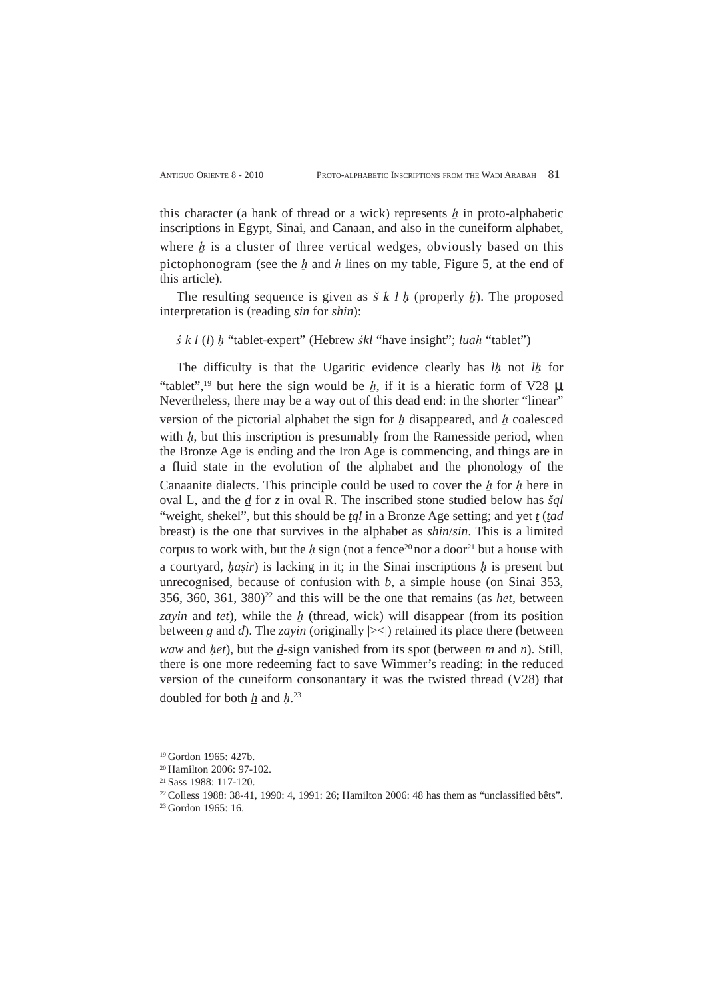this character (a hank of thread or a wick) represents  $h$  in proto-alphabetic inscriptions in Egypt, Sinai, and Canaan, and also in the cuneiform alphabet, where  $h$  is a cluster of three vertical wedges, obviously based on this pictophonogram (see the  $h$  and  $h$  lines on my table, Figure 5, at the end of this article).

The resulting sequence is given as  $\check{s}$  k l h (properly h). The proposed interpretation is (reading *sin* for *shin*):

*ś k l* (*l*) *h* "tablet-expert" (Hebrew *śkl* "have insight"; *luah* "tablet")

The difficulty is that the Ugaritic evidence clearly has *lh* not *lh* for "tablet",<sup>19</sup> but here the sign would be h, if it is a hieratic form of V28 **U**. Nevertheless, there may be a way out of this dead end: in the shorter "linear" version of the pictorial alphabet the sign for  $h$  disappeared, and  $h$  coalesced with  $h$ , but this inscription is presumably from the Ramesside period, when the Bronze Age is ending and the Iron Age is commencing, and things are in a fluid state in the evolution of the alphabet and the phonology of the Canaanite dialects. This principle could be used to cover the  $h$  for  $h$  here in oval L, and the *d* for *z* in oval R. The inscribed stone studied below has *šql* "weight, shekel", but this should be *tql* in a Bronze Age setting; and yet *t* (*tad* breast) is the one that survives in the alphabet as *shin*/*sin*. This is a limited corpus to work with, but the h sign (not a fence<sup>20</sup> nor a door<sup>21</sup> but a house with a courtyard,  $hasir$ ) is lacking in it; in the Sinai inscriptions  $h$  is present but unrecognised, because of confusion with *b*, a simple house (on Sinai 353,  $356, 360, 361, 380$ <sup>22</sup> and this will be the one that remains (as *het*, between *zayin* and *tet*), while the h (thread, wick) will disappear (from its position between *g* and *d*). The *zayin* (originally  $|><$ ) retained its place there (between *waw* and *het*), but the *d*-sign vanished from its spot (between *m* and *n*). Still, there is one more redeeming fact to save Wimmer's reading: in the reduced version of the cuneiform consonantary it was the twisted thread (V28) that doubled for both  $h$  and  $h^{23}$ 

<sup>19</sup> Gordon 1965: 427b.

<sup>20</sup> Hamilton 2006: 97-102.

<sup>21</sup> Sass 1988: 117-120.

<sup>22</sup> Colless 1988: 38-41, 1990: 4, 1991: 26; Hamilton 2006: 48 has them as "unclassified bêts".

<sup>23</sup> Gordon 1965: 16.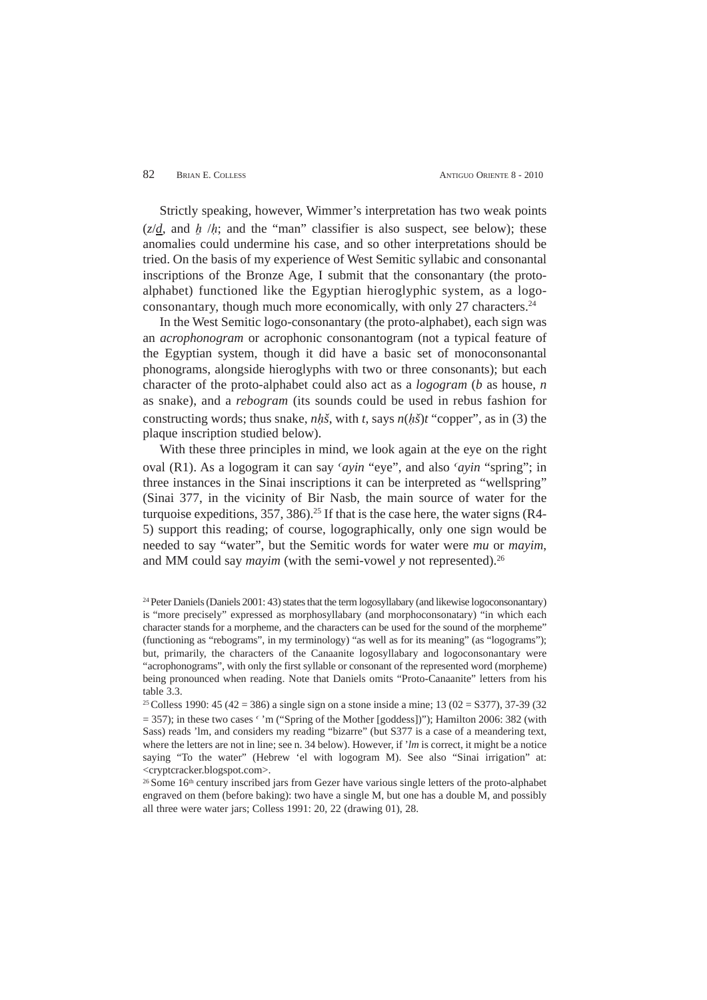# 82 BRIAN E. COLLESS ANTIGUO ORIENTE 8 - 2010

Strictly speaking, however, Wimmer's interpretation has two weak points  $(z/d, \text{ and } h/h;$  and the "man" classifier is also suspect, see below); these anomalies could undermine his case, and so other interpretations should be tried. On the basis of my experience of West Semitic syllabic and consonantal inscriptions of the Bronze Age, I submit that the consonantary (the protoalphabet) functioned like the Egyptian hieroglyphic system, as a logoconsonantary, though much more economically, with only 27 characters. $24$ 

In the West Semitic logo-consonantary (the proto-alphabet), each sign was an *acrophonogram* or acrophonic consonantogram (not a typical feature of the Egyptian system, though it did have a basic set of monoconsonantal phonograms, alongside hieroglyphs with two or three consonants); but each character of the proto-alphabet could also act as a *logogram* (*b* as house, *n* as snake), and a *rebogram* (its sounds could be used in rebus fashion for constructing words; thus snake,  $nh\tilde{s}$ , with *t*, says  $n(h\tilde{s})t$  "copper", as in (3) the plaque inscription studied below).

With these three principles in mind, we look again at the eye on the right oval (R1). As a logogram it can say 'ayin "eye", and also 'ayin "spring"; in three instances in the Sinai inscriptions it can be interpreted as "wellspring" (Sinai 377, in the vicinity of Bir Nasb, the main source of water for the turquoise expeditions,  $357$ ,  $386$ ).<sup>25</sup> If that is the case here, the water signs (R4-5) support this reading; of course, logographically, only one sign would be needed to say "water", but the Semitic words for water were *mu* or *mayim*, and MM could say *mayim* (with the semi-vowel *y* not represented).<sup>26</sup>

<sup>24</sup> Peter Daniels (Daniels 2001: 43) states that the term logosyllabary (and likewise logoconsonantary) is "more precisely" expressed as morphosyllabary (and morphoconsonatary) "in which each character stands for a morpheme, and the characters can be used for the sound of the morpheme" (functioning as "rebograms", in my terminology) "as well as for its meaning" (as "logograms"); but, primarily, the characters of the Canaanite logosyllabary and logoconsonantary were "acrophonograms", with only the first syllable or consonant of the represented word (morpheme) being pronounced when reading. Note that Daniels omits "Proto-Canaanite" letters from his table 3.3.

<sup>25</sup> Colless 1990: 45 (42 = 386) a single sign on a stone inside a mine; 13 (02 = S377), 37-39 (32  $= 357$ ); in these two cases  $\epsilon$  'm ("Spring of the Mother [goddess])"); Hamilton 2006: 382 (with Sass) reads 'lm, and considers my reading "bizarre" (but S377 is a case of a meandering text, where the letters are not in line; see n. 34 below). However, if '*lm* is correct, it might be a notice saying "To the water" (Hebrew 'el with logogram M). See also "Sinai irrigation" at: <cryptcracker.blogspot.com>.

<sup>&</sup>lt;sup>26</sup> Some 16<sup>th</sup> century inscribed jars from Gezer have various single letters of the proto-alphabet engraved on them (before baking): two have a single M, but one has a double M, and possibly all three were water jars; Colless 1991: 20, 22 (drawing 01), 28.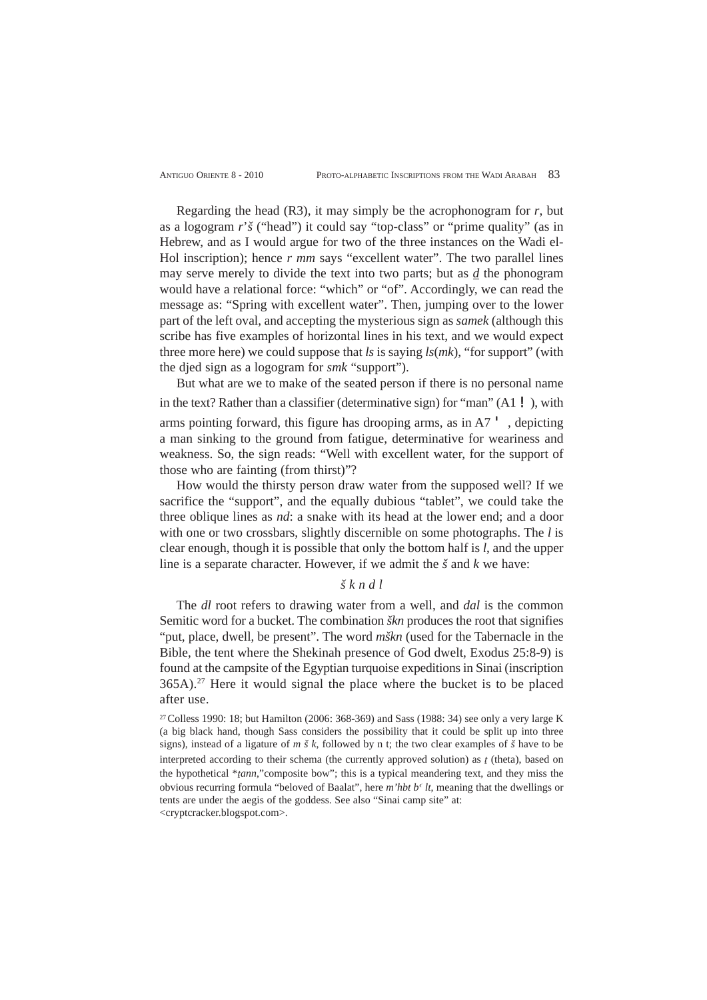Regarding the head  $(R3)$ , it may simply be the acrophonogram for  $r$ , but as a logogram *r*'*š* ("head") it could say "top-class" or "prime quality" (as in Hebrew, and as I would argue for two of the three instances on the Wadi el-Hol inscription); hence *r mm* says "excellent water". The two parallel lines may serve merely to divide the text into two parts; but as *d* the phonogram would have a relational force: "which" or "of". Accordingly, we can read the message as: "Spring with excellent water". Then, jumping over to the lower part of the left oval, and accepting the mysterious sign as *samek* (although this scribe has five examples of horizontal lines in his text, and we would expect three more here) we could suppose that *ls* is saying *ls*(*mk*), "for support" (with the djed sign as a logogram for *smk* "support").

But what are we to make of the seated person if there is no personal name in the text? Rather than a classifier (determinative sign) for "man"  $(A1 \mid$ ), with arms pointing forward, this figure has drooping arms, as in  $A7'$ , depicting a man sinking to the ground from fatigue, determinative for weariness and weakness. So, the sign reads: "Well with excellent water, for the support of those who are fainting (from thirst)"?

How would the thirsty person draw water from the supposed well? If we sacrifice the "support", and the equally dubious "tablet", we could take the three oblique lines as *nd*: a snake with its head at the lower end; and a door with one or two crossbars, slightly discernible on some photographs. The *l* is clear enough, though it is possible that only the bottom half is *l*, and the upper line is a separate character. However, if we admit the *š* and *k* we have:

# *š k n d l*

The *dl* root refers to drawing water from a well, and *dal* is the common Semitic word for a bucket. The combination *škn* produces the root that signifies "put, place, dwell, be present". The word *mškn* (used for the Tabernacle in the Bible, the tent where the Shekinah presence of God dwelt, Exodus 25:8-9) is found at the campsite of the Egyptian turquoise expeditions in Sinai (inscription 365A).27 Here it would signal the place where the bucket is to be placed after use.

27 Colless 1990: 18; but Hamilton (2006: 368-369) and Sass (1988: 34) see only a very large K (a big black hand, though Sass considers the possibility that it could be split up into three signs), instead of a ligature of *m š k*, followed by n t; the two clear examples of *š* have to be interpreted according to their schema (the currently approved solution) as  $\iota$  (theta), based on the hypothetical \**tann*,"composite bow"; this is a typical meandering text, and they miss the obvious recurring formula "beloved of Baalat", here  $m'$ hbt  $b<sup>c</sup>$  *lt*, meaning that the dwellings or tents are under the aegis of the goddess. See also "Sinai camp site" at: <cryptcracker.blogspot.com>.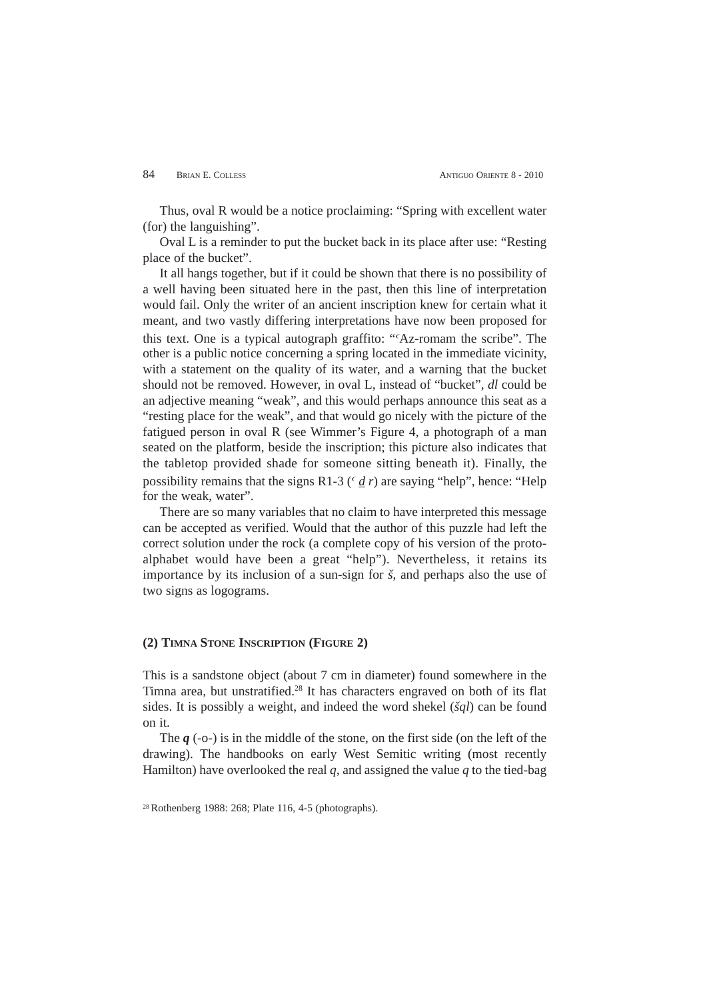Thus, oval R would be a notice proclaiming: "Spring with excellent water (for) the languishing".

Oval L is a reminder to put the bucket back in its place after use: "Resting place of the bucket".

It all hangs together, but if it could be shown that there is no possibility of a well having been situated here in the past, then this line of interpretation would fail. Only the writer of an ancient inscription knew for certain what it meant, and two vastly differing interpretations have now been proposed for this text. One is a typical autograph graffito: ""Az-romam the scribe". The other is a public notice concerning a spring located in the immediate vicinity, with a statement on the quality of its water, and a warning that the bucket should not be removed. However, in oval L, instead of "bucket", *dl* could be an adjective meaning "weak", and this would perhaps announce this seat as a "resting place for the weak", and that would go nicely with the picture of the fatigued person in oval R (see Wimmer's Figure 4, a photograph of a man seated on the platform, beside the inscription; this picture also indicates that the tabletop provided shade for someone sitting beneath it). Finally, the possibility remains that the signs R1-3 ( $\frac{d}{d}$  *r*) are saying "help", hence: "Help" for the weak, water".

There are so many variables that no claim to have interpreted this message can be accepted as verified. Would that the author of this puzzle had left the correct solution under the rock (a complete copy of his version of the protoalphabet would have been a great "help"). Nevertheless, it retains its importance by its inclusion of a sun-sign for *š*, and perhaps also the use of two signs as logograms.

#### **(2) TIMNA STONE INSCRIPTION (FIGURE 2)**

This is a sandstone object (about 7 cm in diameter) found somewhere in the Timna area, but unstratified.28 It has characters engraved on both of its flat sides. It is possibly a weight, and indeed the word shekel (*šql*) can be found on it.

The *q* (-o-) is in the middle of the stone, on the first side (on the left of the drawing). The handbooks on early West Semitic writing (most recently Hamilton) have overlooked the real  $q$ , and assigned the value  $q$  to the tied-bag

<sup>28</sup> Rothenberg 1988: 268; Plate 116, 4-5 (photographs).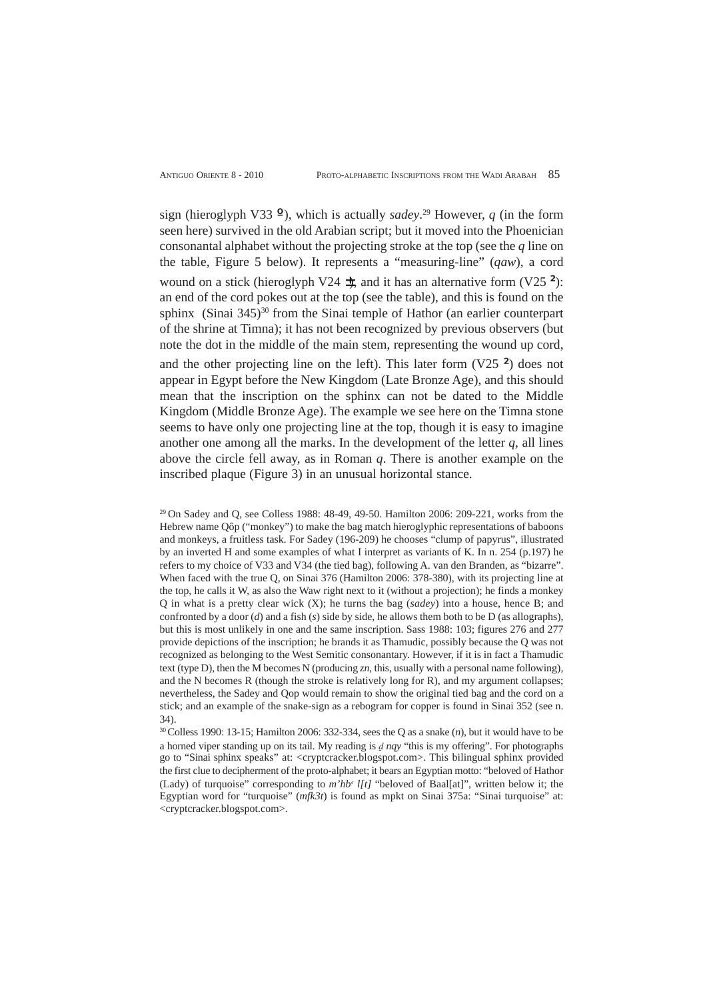sign (hieroglyph V33 º), which is actually *sadey*. <sup>29</sup> However, *q* (in the form seen here) survived in the old Arabian script; but it moved into the Phoenician consonantal alphabet without the projecting stroke at the top (see the *q* line on the table, Figure 5 below). It represents a "measuring-line" (*qaw*), a cord wound on a stick (hieroglyph V24  $\pm$ ), and it has an alternative form (V25  $\pm$ ): an end of the cord pokes out at the top (see the table), and this is found on the sphinx (Sinai 345)<sup>30</sup> from the Sinai temple of Hathor (an earlier counterpart of the shrine at Timna); it has not been recognized by previous observers (but note the dot in the middle of the main stem, representing the wound up cord, and the other projecting line on the left). This later form  $(V25<sup>2</sup>)$  does not appear in Egypt before the New Kingdom (Late Bronze Age), and this should mean that the inscription on the sphinx can not be dated to the Middle Kingdom (Middle Bronze Age). The example we see here on the Timna stone seems to have only one projecting line at the top, though it is easy to imagine another one among all the marks. In the development of the letter  $q$ , all lines above the circle fell away, as in Roman *q*. There is another example on the inscribed plaque (Figure 3) in an unusual horizontal stance.

29 On Sadey and Q, see Colless 1988: 48-49, 49-50. Hamilton 2006: 209-221, works from the Hebrew name Qôp ("monkey") to make the bag match hieroglyphic representations of baboons and monkeys, a fruitless task. For Sadey (196-209) he chooses "clump of papyrus", illustrated by an inverted H and some examples of what I interpret as variants of K. In n. 254 (p.197) he refers to my choice of V33 and V34 (the tied bag), following A. van den Branden, as "bizarre". When faced with the true Q, on Sinai 376 (Hamilton 2006: 378-380), with its projecting line at the top, he calls it W, as also the Waw right next to it (without a projection); he finds a monkey Q in what is a pretty clear wick (X); he turns the bag (*sadey*) into a house, hence B; and confronted by a door (*d*) and a fish (*s*) side by side, he allows them both to be D (as allographs), but this is most unlikely in one and the same inscription. Sass 1988: 103; figures 276 and 277 provide depictions of the inscription; he brands it as Thamudic, possibly because the Q was not recognized as belonging to the West Semitic consonantary. However, if it is in fact a Thamudic text (type D), then the M becomes N (producing *zn*, this, usually with a personal name following), and the N becomes R (though the stroke is relatively long for R), and my argument collapses; nevertheless, the Sadey and Qop would remain to show the original tied bag and the cord on a stick; and an example of the snake-sign as a rebogram for copper is found in Sinai 352 (see n. 34).

30 Colless 1990: 13-15; Hamilton 2006: 332-334, sees the Q as a snake (*n*), but it would have to be a horned viper standing up on its tail. My reading is  $d$  *nqy* "this is my offering". For photographs go to "Sinai sphinx speaks" at: <cryptcracker.blogspot.com>. This bilingual sphinx provided the first clue to decipherment of the proto-alphabet; it bears an Egyptian motto: "beloved of Hathor (Lady) of turquoise" corresponding to  $m'hb<sup>c</sup>$  *l[t]* "beloved of Baal[at]", written below it; the Egyptian word for "turquoise" (*mfk3t*) is found as mpkt on Sinai 375a: "Sinai turquoise" at: <cryptcracker.blogspot.com>.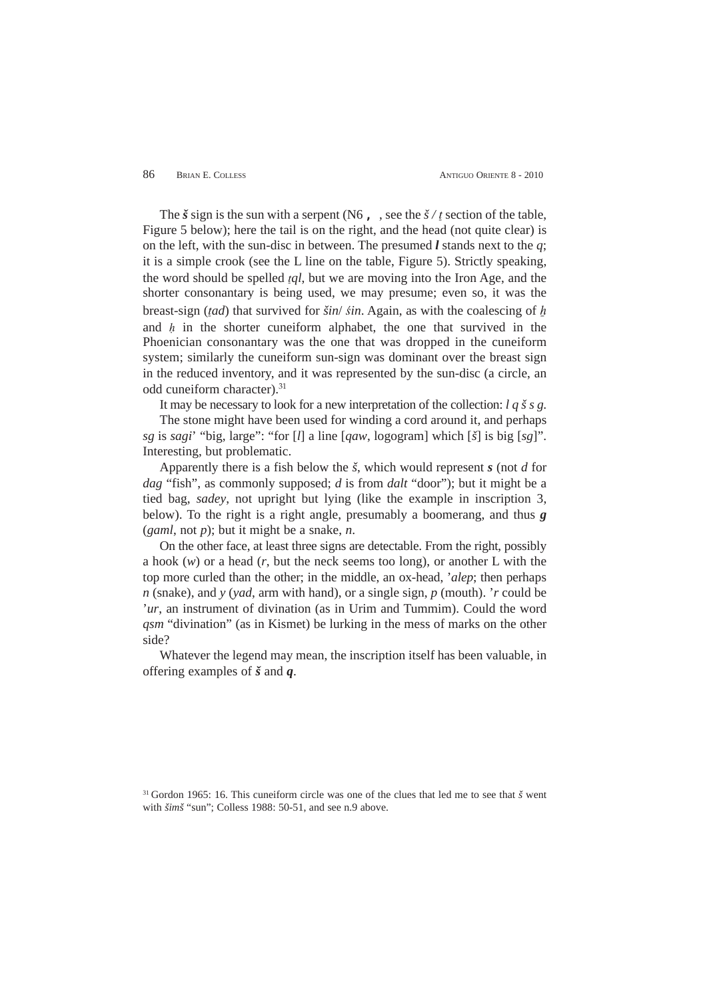The  $\check{s}$  sign is the sun with a serpent (N6, see the  $\check{s}/t$  section of the table, Figure 5 below); here the tail is on the right, and the head (not quite clear) is on the left, with the sun-disc in between. The presumed *l* stands next to the *q*; it is a simple crook (see the L line on the table, Figure 5). Strictly speaking, the word should be spelled *tql*, but we are moving into the Iron Age, and the shorter consonantary is being used, we may presume; even so, it was the breast-sign (tad) that survived for  $\frac{\sin\theta}{\sin\theta}$ , Again, as with the coalescing of h and  $h$  in the shorter cuneiform alphabet, the one that survived in the Phoenician consonantary was the one that was dropped in the cuneiform system; similarly the cuneiform sun-sign was dominant over the breast sign in the reduced inventory, and it was represented by the sun-disc (a circle, an odd cuneiform character).<sup>31</sup>

It may be necessary to look for a new interpretation of the collection: *l q š s g*.

The stone might have been used for winding a cord around it, and perhaps *sg* is *sagi*' "big, large": "for [*l*] a line [*qaw*, logogram] which [*š*] is big [*sg*]". Interesting, but problematic.

Apparently there is a fish below the *š*, which would represent *s* (not *d* for *dag* "fish", as commonly supposed; *d* is from *dalt* "door"); but it might be a tied bag, *sadey*, not upright but lying (like the example in inscription 3, below). To the right is a right angle, presumably a boomerang, and thus *g* (*gaml*, not *p*); but it might be a snake, *n*.

On the other face, at least three signs are detectable. From the right, possibly a hook (*w*) or a head (*r*, but the neck seems too long), or another L with the top more curled than the other; in the middle, an ox-head, '*alep*; then perhaps *n* (snake), and *y* (*yad*, arm with hand), or a single sign, *p* (mouth). '*r* could be '*ur*, an instrument of divination (as in Urim and Tummim). Could the word *qsm* "divination" (as in Kismet) be lurking in the mess of marks on the other side?

Whatever the legend may mean, the inscription itself has been valuable, in offering examples of *š* and *q*.

31 Gordon 1965: 16. This cuneiform circle was one of the clues that led me to see that *š* went with  $\delta$ *imš* "sun"; Colless 1988: 50-51, and see n.9 above.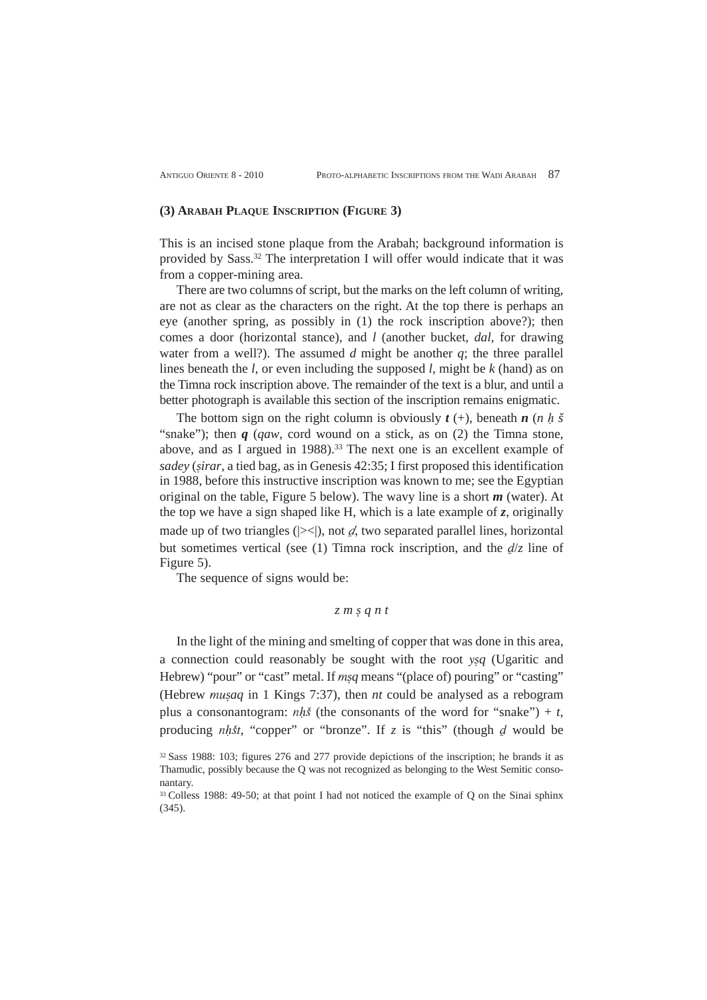# **(3) ARABAH PLAQUE INSCRIPTION (FIGURE 3)**

This is an incised stone plaque from the Arabah; background information is provided by Sass.32 The interpretation I will offer would indicate that it was from a copper-mining area.

There are two columns of script, but the marks on the left column of writing, are not as clear as the characters on the right. At the top there is perhaps an eye (another spring, as possibly in (1) the rock inscription above?); then comes a door (horizontal stance), and *l* (another bucket, *dal*, for drawing water from a well?). The assumed  $d$  might be another  $q$ ; the three parallel lines beneath the *l*, or even including the supposed *l*, might be *k* (hand) as on the Timna rock inscription above. The remainder of the text is a blur, and until a better photograph is available this section of the inscription remains enigmatic.

The bottom sign on the right column is obviously  $t$  (+), beneath  $n$  ( $n$   $h$   $\check{s}$ "snake"); then *q* (*qaw*, cord wound on a stick, as on (2) the Timna stone, above, and as I argued in  $1988$ ).<sup>33</sup> The next one is an excellent example of *sadey* (*ṣirar*, a tied bag, as in Genesis 42:35; I first proposed this identification in 1988, before this instructive inscription was known to me; see the Egyptian original on the table, Figure 5 below). The wavy line is a short *m* (water). At the top we have a sign shaped like H, which is a late example of *z*, originally made up of two triangles ( $|\geq\leq\rangle$ ), not  $d$ , two separated parallel lines, horizontal but sometimes vertical (see (1) Timna rock inscription, and the  $d/z$  line of Figure 5).

The sequence of signs would be:

# *z m ṣ q n t*

In the light of the mining and smelting of copper that was done in this area, a connection could reasonably be sought with the root y*ṣq* (Ugaritic and Hebrew) "pour" or "cast" metal. If *msq* means "(place of) pouring" or "casting" (Hebrew mu*ṣaq* in 1 Kings 7:37), then *nt* could be analysed as a rebogram plus a consonantogram:  $nh\delta$  (the consonants of the word for "snake") + *t*, producing  $nh\ddot{s}t$ , "copper" or "bronze". If  $z$  is "this" (though  $d$  would be

<sup>32</sup> Sass 1988: 103; figures 276 and 277 provide depictions of the inscription; he brands it as Thamudic, possibly because the Q was not recognized as belonging to the West Semitic consonantary.

<sup>&</sup>lt;sup>33</sup> Colless 1988: 49-50; at that point I had not noticed the example of Q on the Sinai sphinx (345).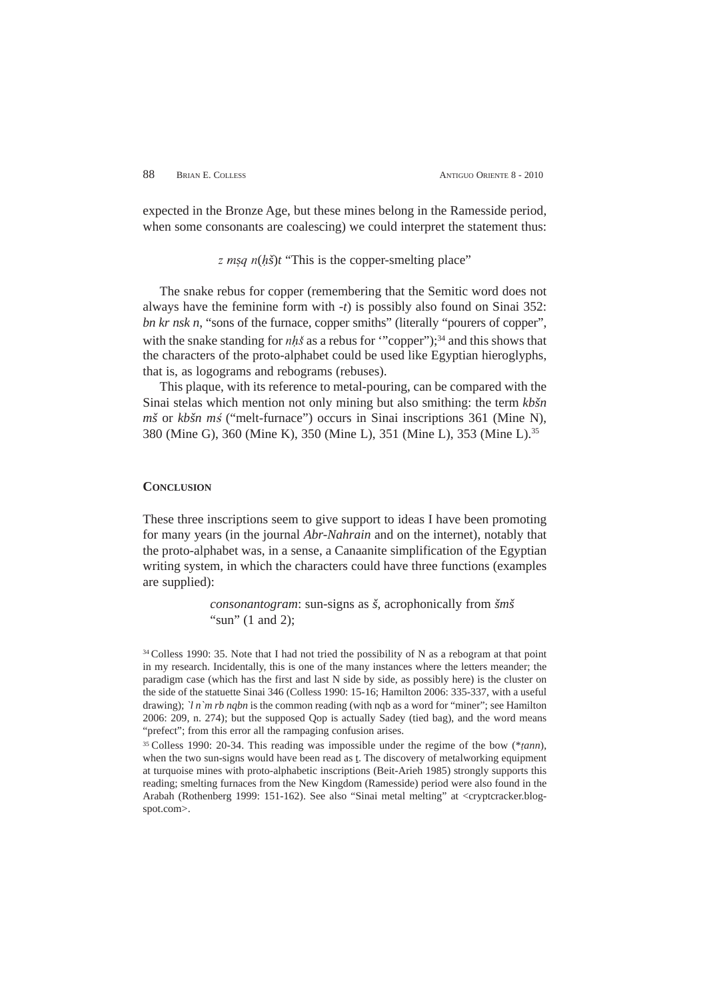expected in the Bronze Age, but these mines belong in the Ramesside period, when some consonants are coalescing) we could interpret the statement thus:

 $\overline{z}$  *msq n(hš)t* "This is the copper-smelting place"

The snake rebus for copper (remembering that the Semitic word does not always have the feminine form with *-t*) is possibly also found on Sinai 352: *bn kr nsk n*, "sons of the furnace, copper smiths" (literally "pourers of copper", with the snake standing for *nhš* as a rebus for "copper");<sup>34</sup> and this shows that the characters of the proto-alphabet could be used like Egyptian hieroglyphs, that is, as logograms and rebograms (rebuses).

This plaque, with its reference to metal-pouring, can be compared with the Sinai stelas which mention not only mining but also smithing: the term *kbšn mš* or *kbšn mś* ("melt-furnace") occurs in Sinai inscriptions 361 (Mine N), 380 (Mine G), 360 (Mine K), 350 (Mine L), 351 (Mine L), 353 (Mine L).35

# **CONCLUSION**

These three inscriptions seem to give support to ideas I have been promoting for many years (in the journal *Abr-Nahrain* and on the internet), notably that the proto-alphabet was, in a sense, a Canaanite simplification of the Egyptian writing system, in which the characters could have three functions (examples are supplied):

> *consonantogram*: sun-signs as *š*, acrophonically from *šmš* "sun" (1 and 2);

<sup>&</sup>lt;sup>34</sup> Colless 1990: 35. Note that I had not tried the possibility of N as a rebogram at that point in my research. Incidentally, this is one of the many instances where the letters meander; the paradigm case (which has the first and last N side by side, as possibly here) is the cluster on the side of the statuette Sinai 346 (Colless 1990: 15-16; Hamilton 2006: 335-337, with a useful drawing); *`l n`m rb nqbn* is the common reading (with nqb as a word for "miner"; see Hamilton 2006: 209, n. 274); but the supposed Qop is actually Sadey (tied bag), and the word means "prefect"; from this error all the rampaging confusion arises.

<sup>&</sup>lt;sup>35</sup> Colless 1990: 20-34. This reading was impossible under the regime of the bow (\*tann), when the two sun-signs would have been read as t. The discovery of metalworking equipment at turquoise mines with proto-alphabetic inscriptions (Beit-Arieh 1985) strongly supports this reading; smelting furnaces from the New Kingdom (Ramesside) period were also found in the Arabah (Rothenberg 1999: 151-162). See also "Sinai metal melting" at <cryptcracker.blogspot.com>.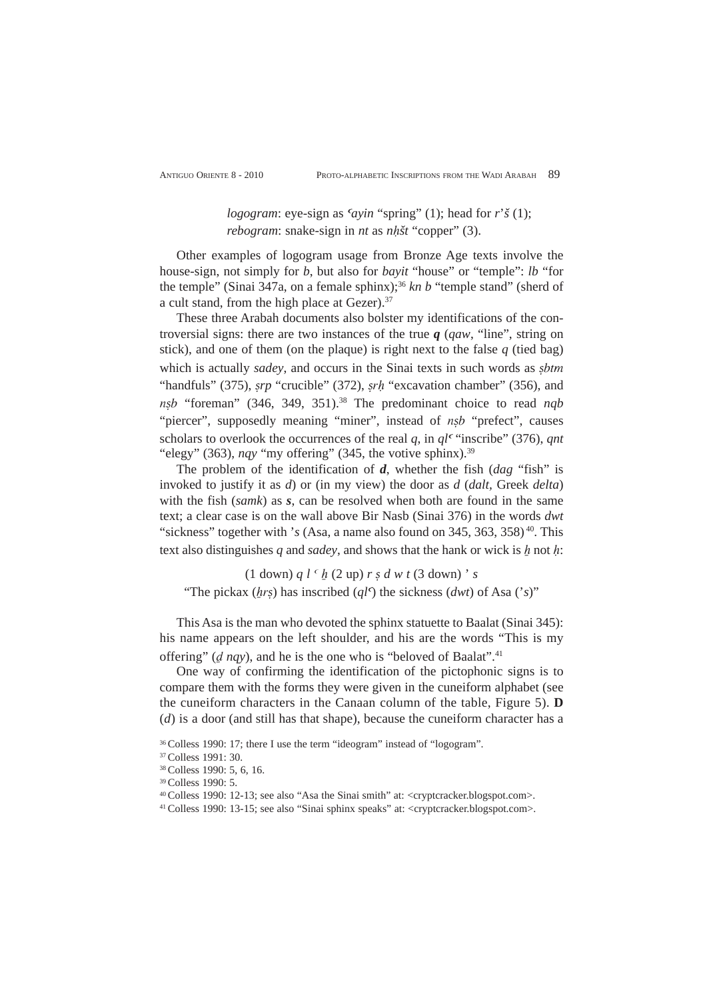*logogram*: eye-sign as  $\alpha$ *in* "spring" (1); head for *r*'*š* (1); *rebogram*: snake-sign in *nt* as *nh*<sup>st</sup> "copper" (3).

Other examples of logogram usage from Bronze Age texts involve the house-sign, not simply for *b*, but also for *bayit* "house" or "temple": *lb* "for the temple" (Sinai 347a, on a female sphinx);<sup>36</sup> kn b "temple stand" (sherd of a cult stand, from the high place at Gezer).<sup>37</sup>

These three Arabah documents also bolster my identifications of the controversial signs: there are two instances of the true *q* (*qaw*, "line", string on stick), and one of them (on the plaque) is right next to the false  $q$  (tied bag) which is actually *sadey*, and occurs in the Sinai texts in such words as *ṣ*btm "handfuls" (375), *srp* "crucible" (372), *srh* "excavation chamber" (356), and n*ṣ*b "foreman" (346, 349, 351).38 The predominant choice to read *nqb* "piercer", supposedly meaning "miner", instead of n<sub>sb</sub> "prefect", causes scholars to overlook the occurrences of the real *q*, in  $al^c$  "inscribe" (376), *ant* "elegy" (363), *nqy* "my offering" (345, the votive sphinx).<sup>39</sup>

The problem of the identification of *d*, whether the fish (*dag* "fish" is invoked to justify it as *d*) or (in my view) the door as *d* (*dalt,* Greek *delta*) with the fish (*samk*) as *s*, can be resolved when both are found in the same text; a clear case is on the wall above Bir Nasb (Sinai 376) in the words *dwt* "sickness" together with 's (Asa, a name also found on 345, 363, 358)<sup>40</sup>. This text also distinguishes  $q$  and *sadey*, and shows that the hank or wick is  $h$  not  $h$ :

 $(1$  down)  $q l^{c}$   $\underline{h}$   $(2$  up)  $r s d w t (3$  down)  $s$ "The pickax (*hrs*) has inscribed ( $q_l$ <sup>c</sup>) the sickness (*dwt*) of Asa ('s)"

This Asa is the man who devoted the sphinx statuette to Baalat (Sinai 345): his name appears on the left shoulder, and his are the words "This is my offering" (*d nqy*), and he is the one who is "beloved of Baalat".<sup>41</sup>

One way of confirming the identification of the pictophonic signs is to compare them with the forms they were given in the cuneiform alphabet (see the cuneiform characters in the Canaan column of the table, Figure 5). **D** (*d*) is a door (and still has that shape), because the cuneiform character has a

41 Colless 1990: 13-15; see also "Sinai sphinx speaks" at: <cryptcracker.blogspot.com>.

<sup>36</sup> Colless 1990: 17; there I use the term "ideogram" instead of "logogram".

<sup>37</sup> Colless 1991: 30.

<sup>38</sup> Colless 1990: 5, 6, 16.

<sup>39</sup> Colless 1990: 5.

<sup>40</sup> Colless 1990: 12-13; see also "Asa the Sinai smith" at: <cryptcracker.blogspot.com>.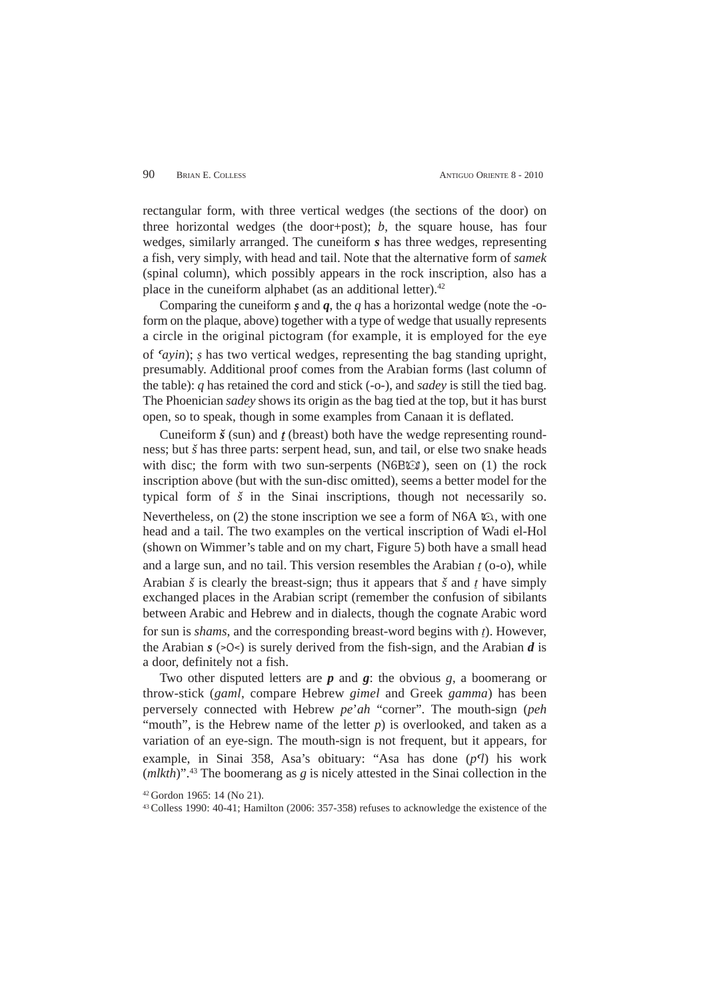rectangular form, with three vertical wedges (the sections of the door) on three horizontal wedges (the door+post); *b*, the square house, has four wedges, similarly arranged. The cuneiform *s* has three wedges, representing a fish, very simply, with head and tail. Note that the alternative form of *samek* (spinal column), which possibly appears in the rock inscription, also has a place in the cuneiform alphabet (as an additional letter). $42$ 

Comparing the cuneiform  $\boldsymbol{\varsigma}$  and  $\boldsymbol{q}$ , the  $q$  has a horizontal wedge (note the -oform on the plaque, above) together with a type of wedge that usually represents a circle in the original pictogram (for example, it is employed for the eye of a*ayin*); *ṣ* has two vertical wedges, representing the bag standing upright, presumably. Additional proof comes from the Arabian forms (last column of the table): *q* has retained the cord and stick (-o-), and *sadey* is still the tied bag. The Phoenician *sadey* shows its origin as the bag tied at the top, but it has burst open, so to speak, though in some examples from Canaan it is deflated.

Cuneiform  $\check{s}$  (sun) and  $\acute{t}$  (breast) both have the wedge representing roundness; but *š* has three parts: serpent head, sun, and tail, or else two snake heads with disc; the form with two sun-serpents (N6B $\odot$ ), seen on (1) the rock inscription above (but with the sun-disc omitted), seems a better model for the typical form of *š* in the Sinai inscriptions, though not necessarily so. Nevertheless, on (2) the stone inscription we see a form of N6A  $\Omega$ , with one head and a tail. The two examples on the vertical inscription of Wadi el-Hol (shown on Wimmer's table and on my chart, Figure 5) both have a small head and a large sun, and no tail. This version resembles the Arabian  $t$  (o-o), while Arabian  $\check{s}$  is clearly the breast-sign; thus it appears that  $\check{s}$  and t have simply exchanged places in the Arabian script (remember the confusion of sibilants between Arabic and Hebrew and in dialects, though the cognate Arabic word for sun is *shams*, and the corresponding breast-word begins with  $t$ ). However, the Arabian  $s$  ( $>0$  $\le$ ) is surely derived from the fish-sign, and the Arabian  $d$  is a door, definitely not a fish.

Two other disputed letters are *p* and *g*: the obvious *g*, a boomerang or throw-stick (*gaml*, compare Hebrew *gimel* and Greek *gamma*) has been perversely connected with Hebrew *pe*'*ah* "corner". The mouth-sign (*peh* "mouth", is the Hebrew name of the letter *p*) is overlooked, and taken as a variation of an eye-sign. The mouth-sign is not frequent, but it appears, for example, in Sinai 358, Asa's obituary: "Asa has done (p<sup>q</sup>) his work (*mlkth*)".43 The boomerang as *g* is nicely attested in the Sinai collection in the

<sup>42</sup> Gordon 1965: 14 (No 21).

<sup>43</sup> Colless 1990: 40-41; Hamilton (2006: 357-358) refuses to acknowledge the existence of the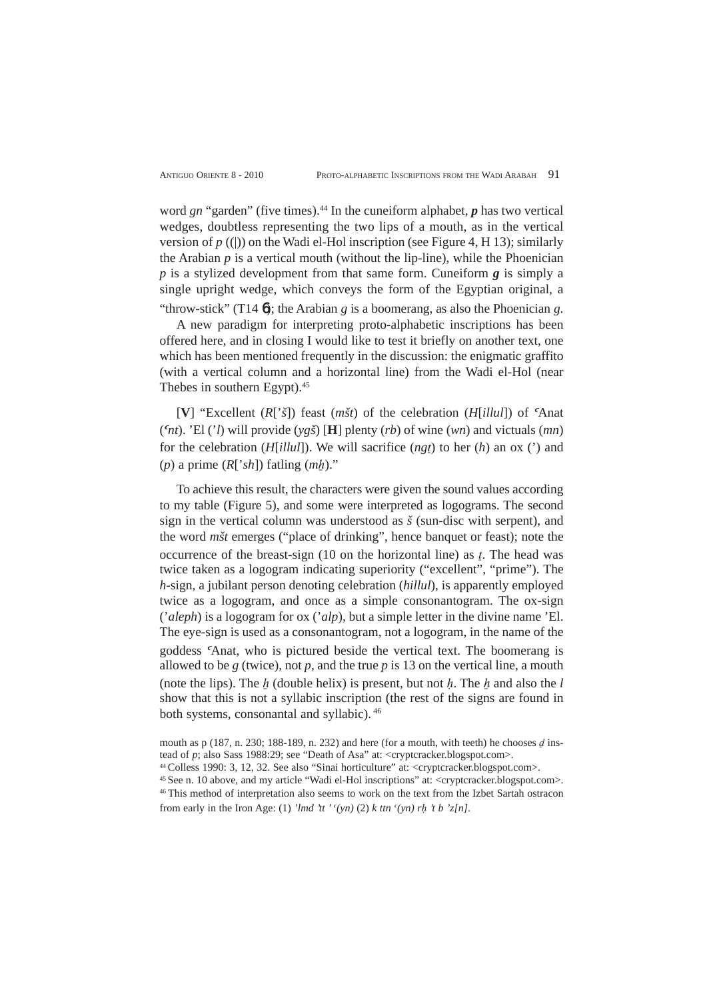word *gn* "garden" (five times).<sup>44</sup> In the cuneiform alphabet, *p* has two vertical wedges, doubtless representing the two lips of a mouth, as in the vertical version of  $p$  ((|)) on the Wadi el-Hol inscription (see Figure 4, H 13); similarly the Arabian  $p$  is a vertical mouth (without the lip-line), while the Phoenician *p* is a stylized development from that same form. Cuneiform *g* is simply a single upright wedge, which conveys the form of the Egyptian original, a

"throw-stick" (T14 6); the Arabian *g* is a boomerang, as also the Phoenician *g*. A new paradigm for interpreting proto-alphabetic inscriptions has been offered here, and in closing I would like to test it briefly on another text, one which has been mentioned frequently in the discussion: the enigmatic graffito (with a vertical column and a horizontal line) from the Wadi el-Hol (near Thebes in southern Egypt).<sup>45</sup>

 $[V]$  "Excellent  $(R[\check{\theta}])$  feast  $(m\check{\theta}t)$  of the celebration  $(H[i][ul])$  of Anat  $(\alpha h t)$ . 'El ('*l*) will provide  $(yg\check{s})$  [**H**] plenty (*rb*) of wine (*wn*) and victuals (*mn*) for the celebration  $(H[illul])$ . We will sacrifice  $(ngt)$  to her  $(h)$  an ox  $(')$  and  $(p)$  a prime  $(R['sh])$  fatling  $(mh)$ ."

To achieve this result, the characters were given the sound values according to my table (Figure 5), and some were interpreted as logograms. The second sign in the vertical column was understood as *š* (sun-disc with serpent), and the word *mšt* emerges ("place of drinking", hence banquet or feast); note the occurrence of the breast-sign (10 on the horizontal line) as  $t$ . The head was twice taken as a logogram indicating superiority ("excellent", "prime"). The *h*-sign, a jubilant person denoting celebration (*hillul*), is apparently employed twice as a logogram, and once as a simple consonantogram. The ox-sign ('*aleph*) is a logogram for ox ('*alp*), but a simple letter in the divine name 'El. The eye-sign is used as a consonantogram, not a logogram, in the name of the goddess <sup>c</sup>Anat, who is pictured beside the vertical text. The boomerang is allowed to be  $g$  (twice), not  $p$ , and the true  $p$  is 13 on the vertical line, a mouth (note the lips). The  $h$  (double helix) is present, but not  $h$ . The  $h$  and also the  $l$ show that this is not a syllabic inscription (the rest of the signs are found in both systems, consonantal and syllabic). <sup>46</sup>

mouth as p (187, n. 230; 188-189, n. 232) and here (for a mouth, with teeth) he chooses  $d$  instead of *p*; also Sass 1988:29; see "Death of Asa" at: <cryptcracker.blogspot.com>.

<sup>44</sup> Colless 1990: 3, 12, 32. See also "Sinai horticulture" at: <cryptcracker.blogspot.com>.

<sup>45</sup> See n. 10 above, and my article "Wadi el-Hol inscriptions" at: <cryptcracker.blogspot.com>. 46 This method of interpretation also seems to work on the text from the Izbet Sartah ostracon

from early in the Iron Age: (1) *'lmd 'tt '* <sup>*c</sup>(yn)* (2) *k ttn* <sup>*c</sup>(yn) rh 't b 'z[n]*.</sup></sup>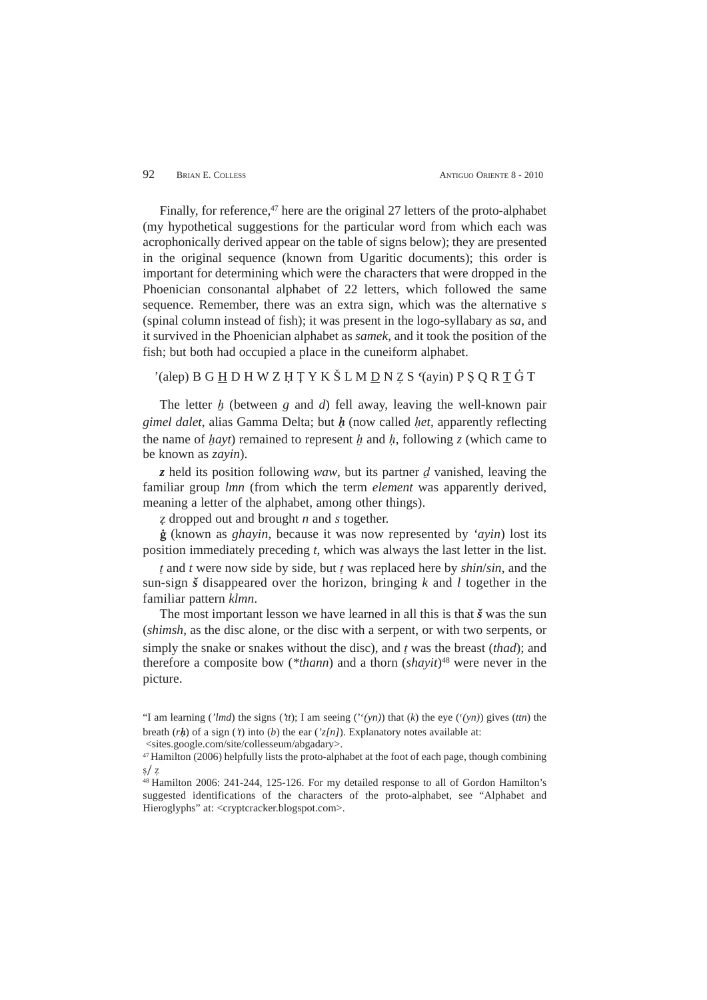Finally, for reference,<sup>47</sup> here are the original 27 letters of the proto-alphabet (my hypothetical suggestions for the particular word from which each was acrophonically derived appear on the table of signs below); they are presented in the original sequence (known from Ugaritic documents); this order is important for determining which were the characters that were dropped in the Phoenician consonantal alphabet of 22 letters, which followed the same sequence. Remember, there was an extra sign, which was the alternative *s* (spinal column instead of fish); it was present in the logo-syllabary as *sa*, and it survived in the Phoenician alphabet as *samek*, and it took the position of the fish; but both had occupied a place in the cuneiform alphabet.

# '(alep) B G H D H W Z H T Y K Š L M D N Z S '(ayin) P S O R T  $\dot{G}$  T

The letter  $\mathbf{h}$  (between  $\mathbf{g}$  and  $\mathbf{d}$ ) fell away, leaving the well-known pair *gimel dalet*, alias Gamma Delta; but  $h$  (now called *het*, apparently reflecting the name of *hayt*) remained to represent h and h, following *z* (which came to be known as *zayin*).

 $\zeta$  held its position following *waw*, but its partner  $\zeta$  vanished, leaving the familiar group *lmn* (from which the term *element* was apparently derived, meaning a letter of the alphabet, among other things).

 $\alpha$  dropped out and brought *n* and *s* together.

 $\dot{g}$  (known as *ghayin*, because it was now represented by *'ayin*) lost its position immediately preceding *t*, which was always the last letter in the list.

 $t$  and  $t$  were now side by side, but  $t$  was replaced here by  $\frac{\sin \sin \sin x}{\sin x}$ , and the sun-sign *š* disappeared over the horizon, bringing *k* and *l* together in the familiar pattern *klmn*.

The most important lesson we have learned in all this is that *š* was the sun (*shimsh*, as the disc alone, or the disc with a serpent, or with two serpents, or simply the snake or snakes without the disc), and  $\ell$  was the breast (*thad*); and therefore a composite bow (*\*thann*) and a thorn (*shayit*)48 were never in the picture.

<sup>&</sup>quot;I am learning (*'lmd*) the signs (*'tt*); I am seeing (''(yn)) that (*k*) the eye ('(yn)) gives (*ttn*) the breath  $(rh)$  of a sign (*'t*) into (*b*) the ear (*'z[n]*). Explanatory notes available at:

<sup>&</sup>lt;sites.google.com/site/collesseum/abgadary>.

<sup>47</sup> Hamilton (2006) helpfully lists the proto-alphabet at the foot of each page, though combining  $s/z$ 

<sup>48</sup> Hamilton 2006: 241-244, 125-126. For my detailed response to all of Gordon Hamilton's suggested identifications of the characters of the proto-alphabet, see "Alphabet and Hieroglyphs" at: <cryptcracker.blogspot.com>.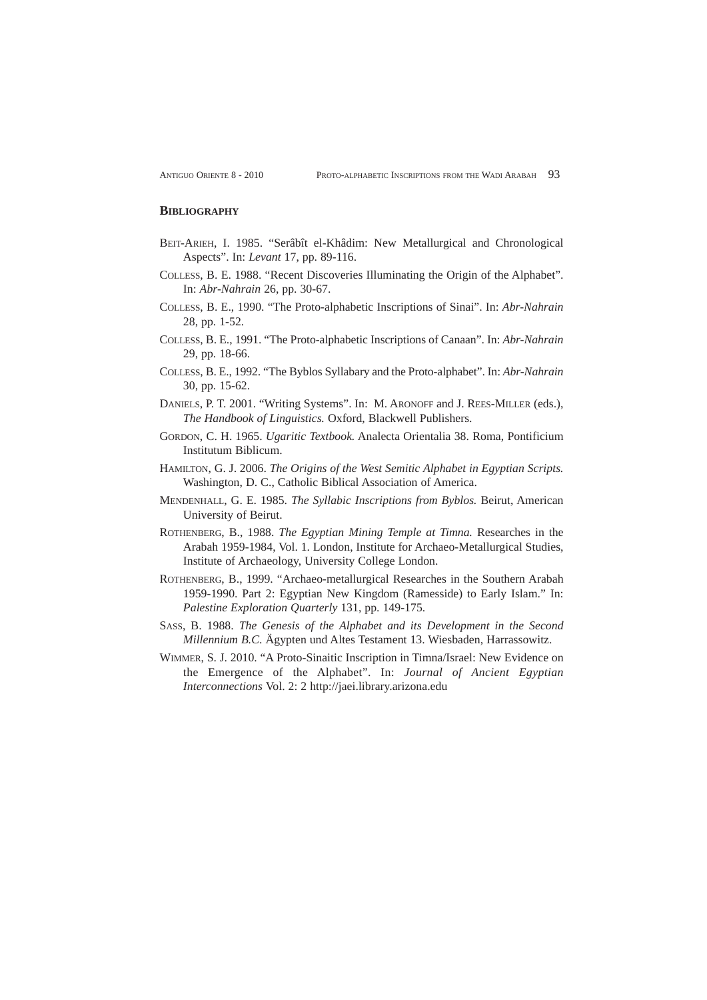## **BIBLIOGRAPHY**

- BEIT-ARIEH, I. 1985. "Serâbît el-Khâdim: New Metallurgical and Chronological Aspects". In: *Levant* 17, pp. 89-116.
- COLLESS, B. E. 1988. "Recent Discoveries Illuminating the Origin of the Alphabet". In: *Abr-Nahrain* 26, pp. 30-67.
- COLLESS, B. E., 1990. "The Proto-alphabetic Inscriptions of Sinai". In: *Abr-Nahrain* 28, pp. 1-52.
- COLLESS, B. E., 1991. "The Proto-alphabetic Inscriptions of Canaan". In: *Abr-Nahrain* 29, pp. 18-66.
- COLLESS, B. E., 1992. "The Byblos Syllabary and the Proto-alphabet". In: *Abr-Nahrain* 30, pp. 15-62.
- DANIELS, P. T. 2001. "Writing Systems". In: M. ARONOFF and J. REES-MILLER (eds.), *The Handbook of Linguistics.* Oxford, Blackwell Publishers.
- GORDON, C. H. 1965. *Ugaritic Textbook.* Analecta Orientalia 38. Roma, Pontificium Institutum Biblicum.
- HAMILTON, G. J. 2006. *The Origins of the West Semitic Alphabet in Egyptian Scripts.* Washington, D. C., Catholic Biblical Association of America.
- MENDENHALL, G. E. 1985. *The Syllabic Inscriptions from Byblos.* Beirut, American University of Beirut.
- ROTHENBERG, B., 1988. *The Egyptian Mining Temple at Timna.* Researches in the Arabah 1959-1984, Vol. 1. London, Institute for Archaeo-Metallurgical Studies, Institute of Archaeology, University College London.
- ROTHENBERG, B., 1999. "Archaeo-metallurgical Researches in the Southern Arabah 1959-1990. Part 2: Egyptian New Kingdom (Ramesside) to Early Islam." In: *Palestine Exploration Quarterly* 131, pp. 149-175.
- SASS, B. 1988. *The Genesis of the Alphabet and its Development in the Second Millennium B.C*. Ägypten und Altes Testament 13. Wiesbaden, Harrassowitz.
- WIMMER, S. J. 2010. "A Proto-Sinaitic Inscription in Timna/Israel: New Evidence on the Emergence of the Alphabet". In: *Journal of Ancient Egyptian Interconnections* Vol. 2: 2 http://jaei.library.arizona.edu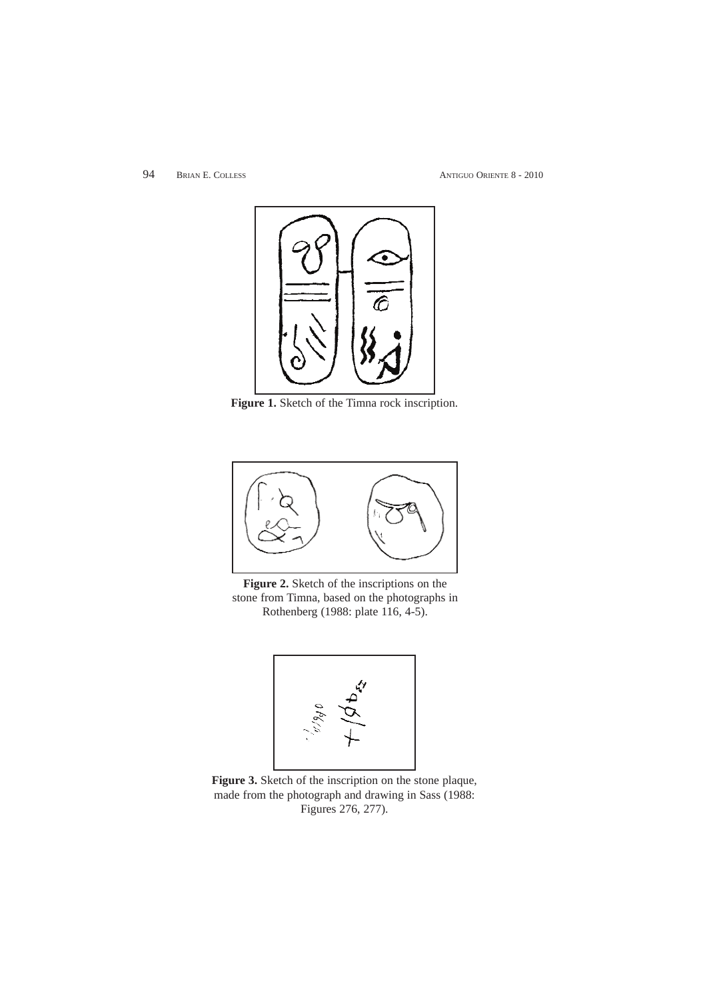94 BRIAN E. COLLESS ANTIGUO ORIENTE 8 - 2010



**Figure 1.** Sketch of the Timna rock inscription.



**Figure 2.** Sketch of the inscriptions on the stone from Timna, based on the photographs in Rothenberg (1988: plate 116, 4-5).



**Figure 3.** Sketch of the inscription on the stone plaque, made from the photograph and drawing in Sass (1988: Figures 276, 277).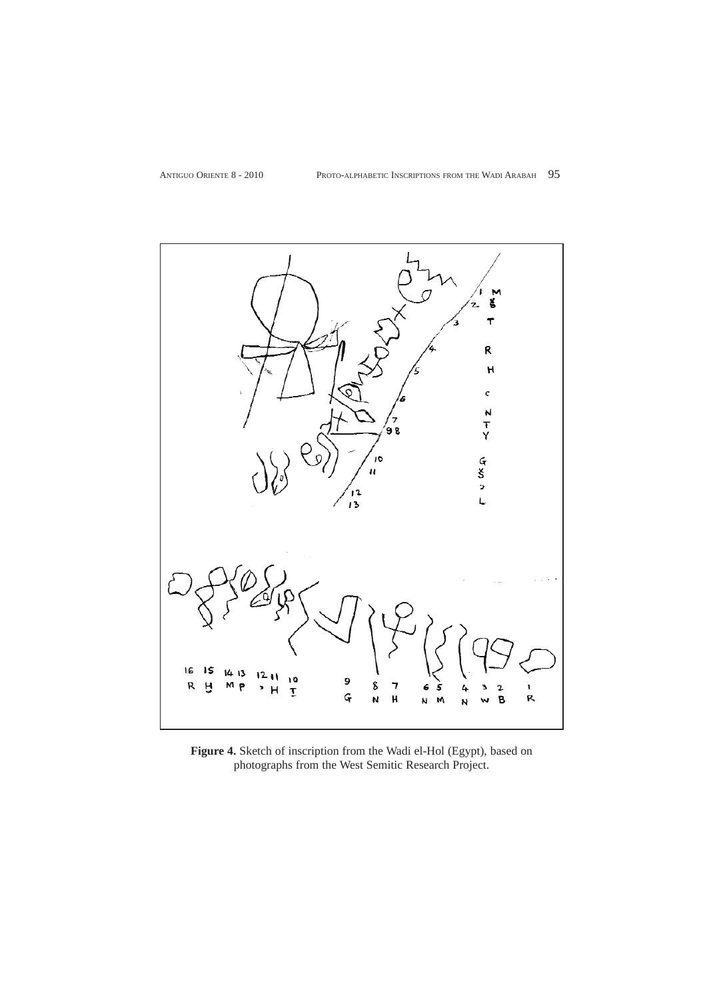

**Figure 4.** Sketch of inscription from the Wadi el-Hol (Egypt), based on photographs from the West Semitic Research Project.